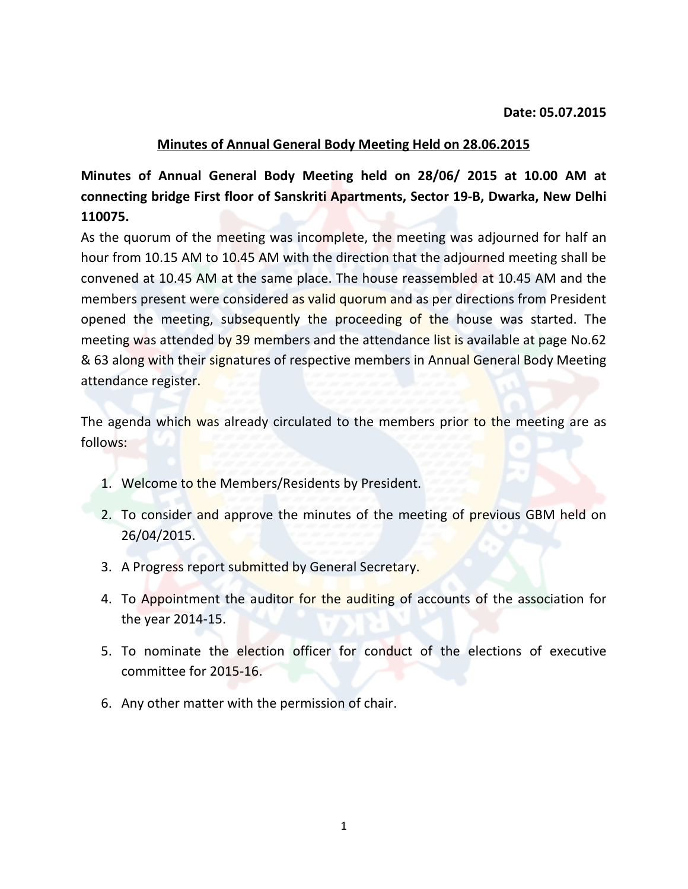#### **Minutes of Annual General Body Meeting Held on 28.06.2015**

**Minutes of Annual General Body Meeting held on 28/06/ 2015 at 10.00 AM at connecting bridge First floor of Sanskriti Apartments, Sector 19-B, Dwarka, New Delhi 110075.**

As the quorum of the meeting was incomplete, the meeting was adjourned for half an hour from 10.15 AM to 10.45 AM with the direction that the adjourned meeting shall be convened at 10.45 AM at the same place. The house reassembled at 10.45 AM and the members present were considered as valid quorum and as per directions from President opened the meeting, subsequently the proceeding of the house was started. The meeting was attended by 39 members and the attendance list is available at page No.62 & 63 along with their signatures of respective members in Annual General Body Meeting attendance register.

The agenda which was already circulated to the members prior to the meeting are as follows:

- 1. Welcome to the Members/Residents by President.
- 2. To consider and approve the minutes of the meeting of previous GBM held on 26/04/2015.
- 3. A Progress report submitted by General Secretary.
- 4. To Appointment the auditor for the auditing of accounts of the association for the year 2014-15.
- 5. To nominate the election officer for conduct of the elections of executive committee for 2015-16.
- 6. Any other matter with the permission of chair.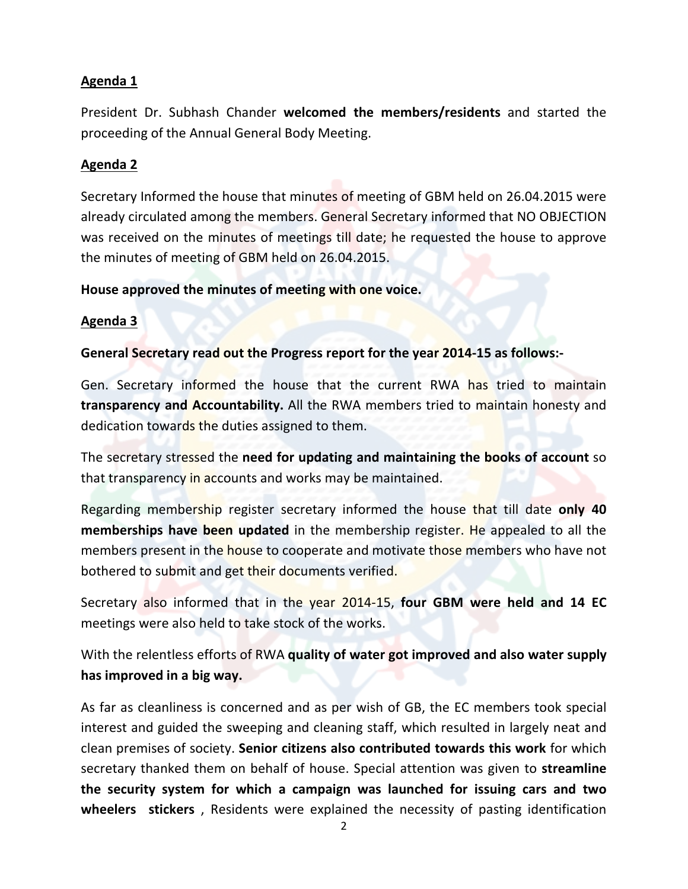## **Agenda 1**

President Dr. Subhash Chander **welcomed the members/residents** and started the proceeding of the Annual General Body Meeting.

# **Agenda 2**

Secretary Informed the house that minutes of meeting of GBM held on 26.04.2015 were already circulated among the members. General Secretary informed that NO OBJECTION was received on the minutes of meetings till date; he requested the house to approve the minutes of meeting of GBM held on 26.04.2015.

## **House approved the minutes of meeting with one voice.**

## **Agenda 3**

#### **General Secretary read out the Progress report for the year 2014-15 as follows:-**

Gen. Secretary informed the house that the current RWA has tried to maintain **transparency and Accountability.** All the RWA members tried to maintain honesty and dedication towards the duties assigned to them.

The secretary stressed the **need for updating and maintaining the books of account** so that transparency in accounts and works may be maintained.

Regarding membership register secretary informed the house that till date **only 40 memberships have been updated** in the membership register. He appealed to all the members present in the house to cooperate and motivate those members who have not bothered to submit and get their documents verified.

Secretary also informed that in the year 2014-15, **four GBM were held and 14 EC** meetings were also held to take stock of the works.

With the relentless efforts of RWA **quality of water got improved and also water supply has improved in a big way.**

As far as cleanliness is concerned and as per wish of GB, the EC members took special interest and guided the sweeping and cleaning staff, which resulted in largely neat and clean premises of society. **Senior citizens also contributed towards this work** for which secretary thanked them on behalf of house. Special attention was given to **streamline the security system for which a campaign was launched for issuing cars and two wheelers stickers** , Residents were explained the necessity of pasting identification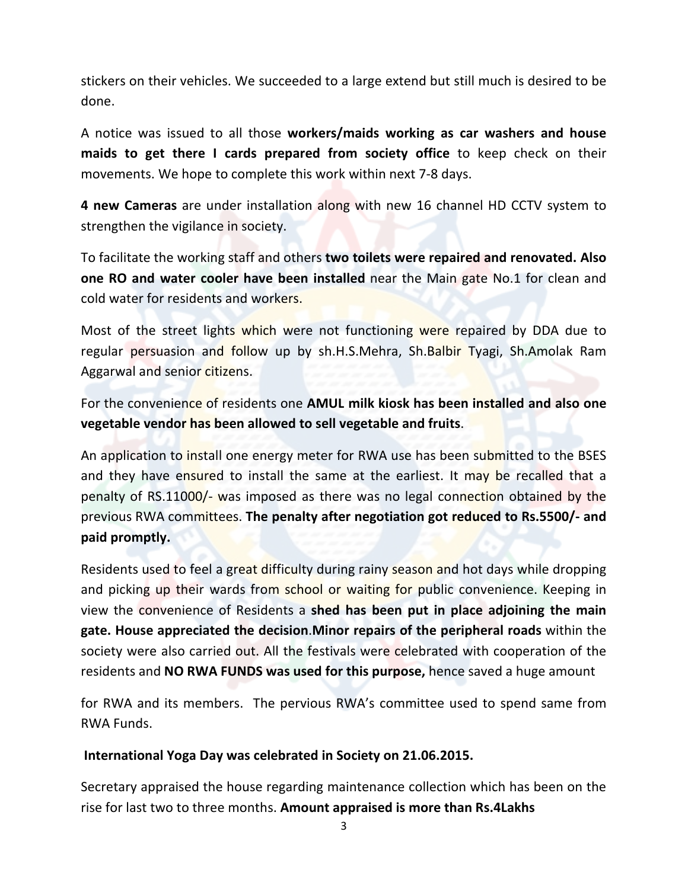stickers on their vehicles. We succeeded to a large extend but still much is desired to be done.

A notice was issued to all those **workers/maids working as car washers and house maids to get there I cards prepared from society office** to keep check on their movements. We hope to complete this work within next 7-8 days.

**4 new Cameras** are under installation along with new 16 channel HD CCTV system to strengthen the vigilance in society.

To facilitate the working staff and others **two toilets were repaired and renovated. Also one RO and water cooler have been installed** near the Main gate No.1 for clean and cold water for residents and workers.

Most of the street lights which were not functioning were repaired by DDA due to regular persuasion and follow up by sh.H.S.Mehra, Sh.Balbir Tyagi, Sh.Amolak Ram Aggarwal and senior citizens.

For the convenience of residents one **AMUL milk kiosk has been installed and also one vegetable vendor has been allowed to sell vegetable and fruits**.

An application to install one energy meter for RWA use has been submitted to the BSES and they have ensured to install the same at the earliest. It may be recalled that a penalty of RS.11000/- was imposed as there was no legal connection obtained by the previous RWA committees. **The penalty after negotiation got reduced to Rs.5500/- and paid promptly.**

Residents used to feel a great difficulty during rainy season and hot days while dropping and picking up their wards from school or waiting for public convenience. Keeping in view the convenience of Residents a **shed has been put in place adjoining the main gate. House appreciated the decision**.**Minor repairs of the peripheral roads** within the society were also carried out. All the festivals were celebrated with cooperation of the residents and **NO RWA FUNDS was used for this purpose,** hence saved a huge amount

for RWA and its members. The pervious RWA's committee used to spend same from RWA Funds.

#### **International Yoga Day was celebrated in Society on 21.06.2015.**

Secretary appraised the house regarding maintenance collection which has been on the rise for last two to three months. **Amount appraised is more than Rs.4Lakhs**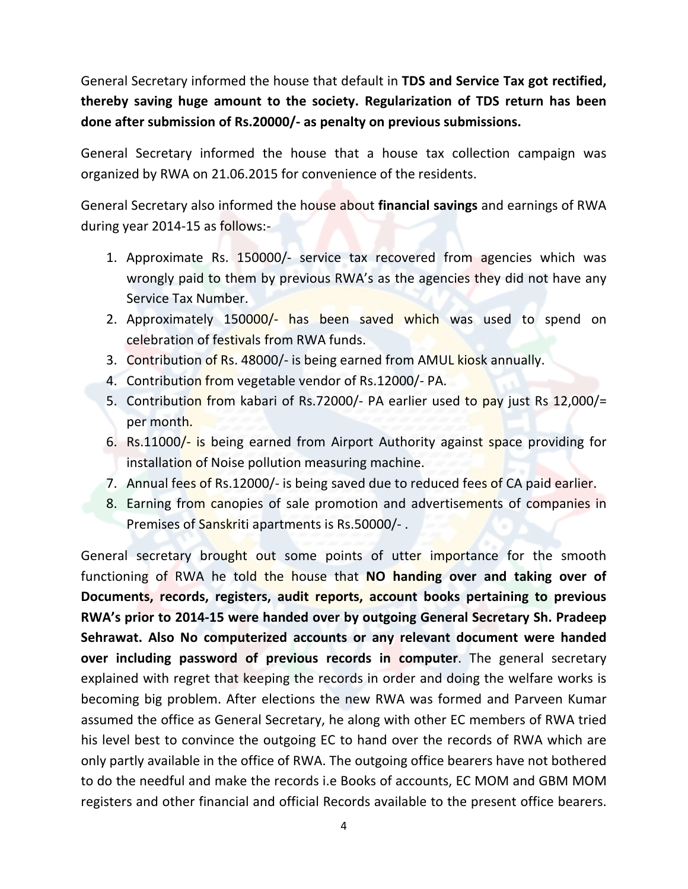General Secretary informed the house that default in **TDS and Service Tax got rectified, thereby saving huge amount to the society. Regularization of TDS return has been done after submission of Rs.20000/- as penalty on previous submissions.**

General Secretary informed the house that a house tax collection campaign was organized by RWA on 21.06.2015 for convenience of the residents.

General Secretary also informed the house about **financial savings** and earnings of RWA during year 2014-15 as follows:-

- 1. Approximate Rs. 150000/- service tax recovered from agencies which was wrongly paid to them by previous RWA's as the agencies they did not have any Service Tax Number.
- 2. Approximately 150000/- has been saved which was used to spend on celebration of festivals from RWA funds.
- 3. Contribution of Rs. 48000/- is being earned from AMUL kiosk annually.
- 4. Contribution from vegetable vendor of Rs.12000/- PA.
- 5. Contribution from kabari of Rs.72000/- PA earlier used to pay just Rs 12,000/= per month.
- 6. Rs.11000/- is being earned from Airport Authority against space providing for installation of Noise pollution measuring machine.
- 7. Annual fees of Rs.12000/- is being saved due to reduced fees of CA paid earlier.
- 8. Earning from canopies of sale promotion and advertisements of companies in Premises of Sanskriti apartments is Rs.50000/-.

General secretary brought out some points of utter importance for the smooth functioning of RWA he told the house that **NO handing over and taking over of Documents, records, registers, audit reports, account books pertaining to previous RWA's prior to 2014-15 were handed over by outgoing General Secretary Sh. Pradeep Sehrawat. Also No computerized accounts or any relevant document were handed over including password of previous records in computer**. The general secretary explained with regret that keeping the records in order and doing the welfare works is becoming big problem. After elections the new RWA was formed and Parveen Kumar assumed the office as General Secretary, he along with other EC members of RWA tried his level best to convince the outgoing EC to hand over the records of RWA which are only partly available in the office of RWA. The outgoing office bearers have not bothered to do the needful and make the records i.e Books of accounts, EC MOM and GBM MOM registers and other financial and official Records available to the present office bearers.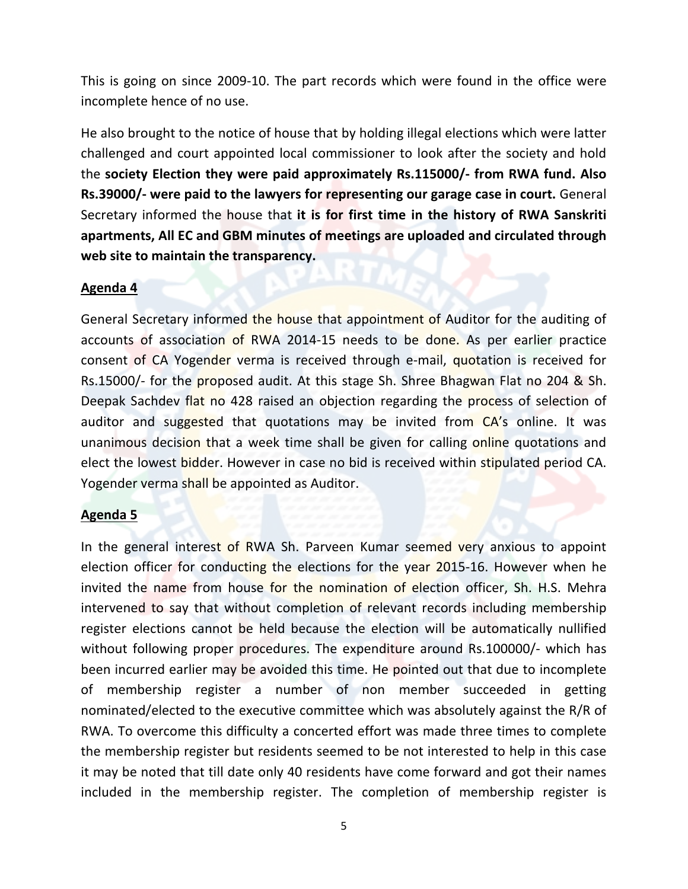This is going on since 2009-10. The part records which were found in the office were incomplete hence of no use.

He also brought to the notice of house that by holding illegal elections which were latter challenged and court appointed local commissioner to look after the society and hold the **society Election they were paid approximately Rs.115000/- from RWA fund. Also Rs.39000/- were paid to the lawyers for representing our garage case in court.** General Secretary informed the house that **it is for first time in the history of RWA Sanskriti apartments, All EC and GBM minutes of meetings are uploaded and circulated through web site to maintain the transparency.** 

#### **Agenda 4**

General Secretary informed the house that appointment of Auditor for the auditing of accounts of association of RWA 2014-15 needs to be done. As per earlier practice consent of CA Yogender verma is received through e-mail, quotation is received for Rs.15000/- for the proposed audit. At this stage Sh. Shree Bhagwan Flat no 204 & Sh. Deepak Sachdev flat no 428 raised an objection regarding the process of selection of auditor and suggested that quotations may be invited from CA's online. It was unanimous decision that a week time shall be given for calling online quotations and elect the lowest bidder. However in case no bid is received within stipulated period CA. Yogender verma shall be appointed as Auditor.

#### **Agenda 5**

In the general interest of RWA Sh. Parveen Kumar seemed very anxious to appoint election officer for conducting the elections for the year 2015-16. However when he invited the name from house for the nomination of election officer, Sh. H.S. Mehra intervened to say that without completion of relevant records including membership register elections cannot be held because the election will be automatically nullified without following proper procedures. The expenditure around Rs.100000/- which has been incurred earlier may be avoided this time. He pointed out that due to incomplete of membership register a number of non member succeeded in getting nominated/elected to the executive committee which was absolutely against the R/R of RWA. To overcome this difficulty a concerted effort was made three times to complete the membership register but residents seemed to be not interested to help in this case it may be noted that till date only 40 residents have come forward and got their names included in the membership register. The completion of membership register is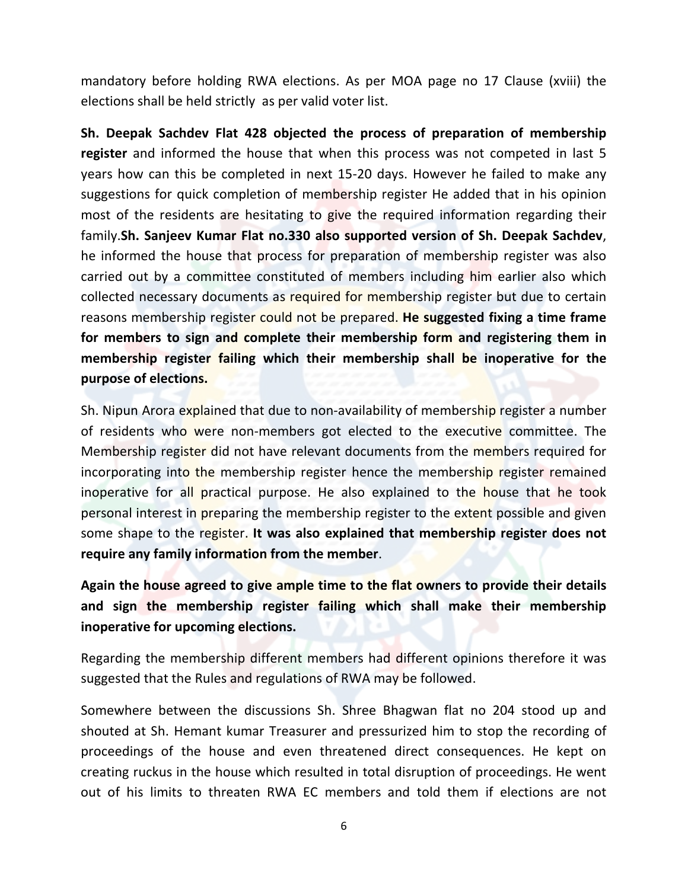mandatory before holding RWA elections. As per MOA page no 17 Clause (xviii) the elections shall be held strictly as per valid voter list.

**Sh. Deepak Sachdev Flat 428 objected the process of preparation of membership register** and informed the house that when this process was not competed in last 5 years how can this be completed in next 15-20 days. However he failed to make any suggestions for quick completion of membership register He added that in his opinion most of the residents are hesitating to give the required information regarding their family.**Sh. Sanjeev Kumar Flat no.330 also supported version of Sh. Deepak Sachdev**, he informed the house that process for preparation of membership register was also carried out by a committee constituted of members including him earlier also which collected necessary documents as required for membership register but due to certain reasons membership register could not be prepared. **He suggested fixing a time frame for members to sign and complete their membership form and registering them in membership register failing which their membership shall be inoperative for the purpose of elections.**

Sh. Nipun Arora explained that due to non-availability of membership register a number of residents who were non-members got elected to the executive committee. The Membership register did not have relevant documents from the members required for incorporating into the membership register hence the membership register remained inoperative for all practical purpose. He also explained to the house that he took personal interest in preparing the membership register to the extent possible and given some shape to the register. **It was also explained that membership register does not require any family information from the member**.

**Again the house agreed to give ample time to the flat owners to provide their details and sign the membership register failing which shall make their membership inoperative for upcoming elections.**

Regarding the membership different members had different opinions therefore it was suggested that the Rules and regulations of RWA may be followed.

Somewhere between the discussions Sh. Shree Bhagwan flat no 204 stood up and shouted at Sh. Hemant kumar Treasurer and pressurized him to stop the recording of proceedings of the house and even threatened direct consequences. He kept on creating ruckus in the house which resulted in total disruption of proceedings. He went out of his limits to threaten RWA EC members and told them if elections are not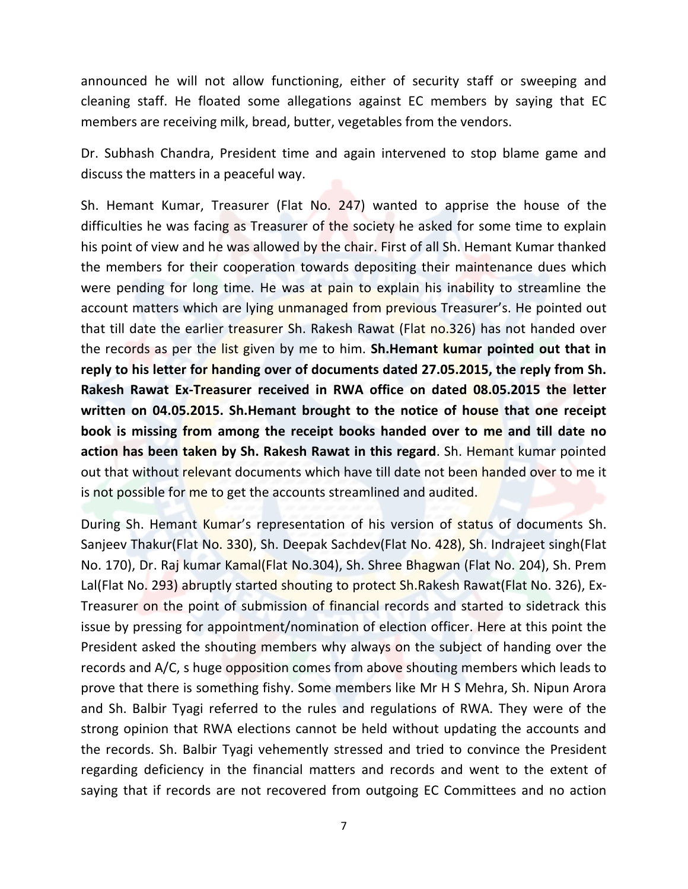announced he will not allow functioning, either of security staff or sweeping and cleaning staff. He floated some allegations against EC members by saying that EC members are receiving milk, bread, butter, vegetables from the vendors.

Dr. Subhash Chandra, President time and again intervened to stop blame game and discuss the matters in a peaceful way.

Sh. Hemant Kumar, Treasurer (Flat No. 247) wanted to apprise the house of the difficulties he was facing as Treasurer of the society he asked for some time to explain his point of view and he was allowed by the chair. First of all Sh. Hemant Kumar thanked the members for their cooperation towards depositing their maintenance dues which were pending for long time. He was at pain to explain his inability to streamline the account matters which are lying unmanaged from previous Treasurer's. He pointed out that till date the earlier treasurer Sh. Rakesh Rawat (Flat no.326) has not handed over the records as per the list given by me to him. **Sh.Hemant kumar pointed out that in reply to his letter for handing over of documents dated 27.05.2015, the reply from Sh. Rakesh Rawat Ex-Treasurer received in RWA office on dated 08.05.2015 the letter written on 04.05.2015. Sh.Hemant brought to the notice of house that one receipt book is missing from among the receipt books handed over to me and till date no action has been taken by Sh. Rakesh Rawat in this regard**. Sh. Hemant kumar pointed out that without relevant documents which have till date not been handed over to me it is not possible for me to get the accounts streamlined and audited.

During Sh. Hemant Kumar's representation of his version of status of documents Sh. Sanjeev Thakur(Flat No. 330), Sh. Deepak Sachdev(Flat No. 428), Sh. Indrajeet singh(Flat No. 170), Dr. Raj kumar Kamal(Flat No.304), Sh. Shree Bhagwan (Flat No. 204), Sh. Prem Lal(Flat No. 293) abruptly started shouting to protect Sh. Rakesh Rawat(Flat No. 326), Ex-Treasurer on the point of submission of financial records and started to sidetrack this issue by pressing for appointment/nomination of election officer. Here at this point the President asked the shouting members why always on the subject of handing over the records and A/C, s huge opposition comes from above shouting members which leads to prove that there is something fishy. Some members like Mr H S Mehra, Sh. Nipun Arora and Sh. Balbir Tyagi referred to the rules and regulations of RWA. They were of the strong opinion that RWA elections cannot be held without updating the accounts and the records. Sh. Balbir Tyagi vehemently stressed and tried to convince the President regarding deficiency in the financial matters and records and went to the extent of saying that if records are not recovered from outgoing EC Committees and no action